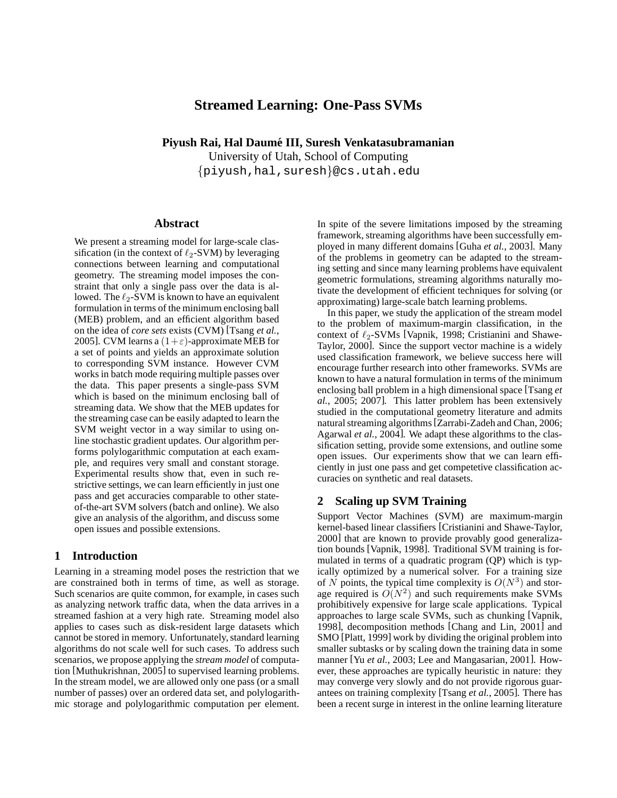# **Streamed Learning: One-Pass SVMs**

**Piyush Rai, Hal Daume III, Suresh Venkatasubramanian ´**

University of Utah, School of Computing {piyush,hal,suresh}@cs.utah.edu

### **Abstract**

We present a streaming model for large-scale classification (in the context of  $\ell_2$ -SVM) by leveraging connections between learning and computational geometry. The streaming model imposes the constraint that only a single pass over the data is allowed. The  $\ell_2$ -SVM is known to have an equivalent formulation in terms of the minimum enclosing ball (MEB) problem, and an efficient algorithm based on the idea of *core sets* exists (CVM) [Tsang *et al.*, 2005]. CVM learns a  $(1+\varepsilon)$ -approximate MEB for a set of points and yields an approximate solution to corresponding SVM instance. However CVM works in batch mode requiring multiple passes over the data. This paper presents a single-pass SVM which is based on the minimum enclosing ball of streaming data. We show that the MEB updates for the streaming case can be easily adapted to learn the SVM weight vector in a way similar to using online stochastic gradient updates. Our algorithm performs polylogarithmic computation at each example, and requires very small and constant storage. Experimental results show that, even in such restrictive settings, we can learn efficiently in just one pass and get accuracies comparable to other stateof-the-art SVM solvers (batch and online). We also give an analysis of the algorithm, and discuss some open issues and possible extensions.

## **1 Introduction**

Learning in a streaming model poses the restriction that we are constrained both in terms of time, as well as storage. Such scenarios are quite common, for example, in cases such as analyzing network traffic data, when the data arrives in a streamed fashion at a very high rate. Streaming model also applies to cases such as disk-resident large datasets which cannot be stored in memory. Unfortunately, standard learning algorithms do not scale well for such cases. To address such scenarios, we propose applying the *stream model* of computation [Muthukrishnan, 2005] to supervised learning problems. In the stream model, we are allowed only one pass (or a small number of passes) over an ordered data set, and polylogarithmic storage and polylogarithmic computation per element. In spite of the severe limitations imposed by the streaming framework, streaming algorithms have been successfully employed in many different domains [Guha *et al.*, 2003]. Many of the problems in geometry can be adapted to the streaming setting and since many learning problems have equivalent geometric formulations, streaming algorithms naturally motivate the development of efficient techniques for solving (or approximating) large-scale batch learning problems.

In this paper, we study the application of the stream model to the problem of maximum-margin classification, in the context of  $\ell_2$ -SVMs [Vapnik, 1998; Cristianini and Shawe-Taylor, 2000]. Since the support vector machine is a widely used classification framework, we believe success here will encourage further research into other frameworks. SVMs are known to have a natural formulation in terms of the minimum enclosing ball problem in a high dimensional space [Tsang *et al.*, 2005; 2007]. This latter problem has been extensively studied in the computational geometry literature and admits natural streaming algorithms[Zarrabi-Zadeh and Chan, 2006; Agarwal *et al.*, 2004]. We adapt these algorithms to the classification setting, provide some extensions, and outline some open issues. Our experiments show that we can learn efficiently in just one pass and get competetive classification accuracies on synthetic and real datasets.

## **2 Scaling up SVM Training**

Support Vector Machines (SVM) are maximum-margin kernel-based linear classifiers [Cristianini and Shawe-Taylor, 2000] that are known to provide provably good generalization bounds [Vapnik, 1998]. Traditional SVM training is formulated in terms of a quadratic program (QP) which is typically optimized by a numerical solver. For a training size of N points, the typical time complexity is  $O(N^3)$  and storage required is  $O(N^2)$  and such requirements make SVMs prohibitively expensive for large scale applications. Typical approaches to large scale SVMs, such as chunking [Vapnik, 1998], decomposition methods [Chang and Lin, 2001] and SMO [Platt, 1999] work by dividing the original problem into smaller subtasks or by scaling down the training data in some manner [Yu *et al.*, 2003; Lee and Mangasarian, 2001]. However, these approaches are typically heuristic in nature: they may converge very slowly and do not provide rigorous guarantees on training complexity [Tsang *et al.*, 2005]. There has been a recent surge in interest in the online learning literature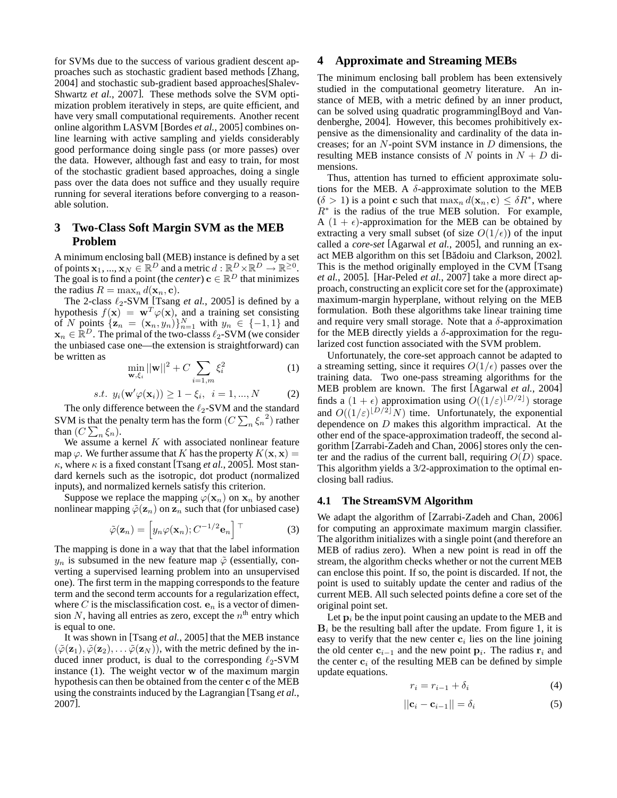for SVMs due to the success of various gradient descent approaches such as stochastic gradient based methods [Zhang, 2004] and stochastic sub-gradient based approaches[Shalev-Shwartz *et al.*, 2007]. These methods solve the SVM optimization problem iteratively in steps, are quite efficient, and have very small computational requirements. Another recent online algorithm LASVM [Bordes *et al.*, 2005] combines online learning with active sampling and yields considerably good performance doing single pass (or more passes) over the data. However, although fast and easy to train, for most of the stochastic gradient based approaches, doing a single pass over the data does not suffice and they usually require running for several iterations before converging to a reasonable solution.

## **3 Two-Class Soft Margin SVM as the MEB Problem**

A minimum enclosing ball (MEB) instance is defined by a set of points  $\mathbf{x}_1, ..., \mathbf{x}_N \in \mathbb{R}^D$  and a metric  $d : \mathbb{R}^D \times \mathbb{R}^D \to \mathbb{R}^{\geq 0}$ . The goal is to find a point (the *center*)  $\mathbf{c} \in \mathbb{R}^D$  that minimizes the radius  $R = \max_n d(\mathbf{x}_n, \mathbf{c}).$ 

The 2-class  $\ell_2$ -SVM [Tsang *et al.*, 2005] is defined by a hypothesis  $f(\mathbf{x}) = \mathbf{w}^T \varphi(\mathbf{x})$ , and a training set consisting of N points  $\{z_n = (x_n, y_n)\}_{n=1}^N$  with  $y_n \in \{-1, 1\}$  and  $\mathbf{x}_n \in \mathbb{R}^D$ . The primal of the two-classs  $\ell_2$ -SVM (we consider the unbiased case one—the extension is straightforward) can be written as

$$
\min_{\mathbf{w}, \xi_i} ||\mathbf{w}||^2 + C \sum_{i=1,m} \xi_i^2
$$
 (1)

$$
s.t. y_i(\mathbf{w}'\varphi(\mathbf{x}_i)) \ge 1 - \xi_i, \ i = 1, ..., N \qquad (2)
$$

The only difference between the  $\ell_2$ -SVM and the standard SVM is that the penalty term has the form  $(C \sum_{n} \xi_n^2)$  rather than  $(C \sum_{n} \xi_n)$ .

We assume a kernel  $K$  with associated nonlinear feature map  $\varphi$ . We further assume that K has the property  $K(\mathbf{x}, \mathbf{x}) =$  $\kappa$ , where  $\kappa$  is a fixed constant [Tsang *et al.*, 2005]. Most standard kernels such as the isotropic, dot product (normalized inputs), and normalized kernels satisfy this criterion.

Suppose we replace the mapping  $\varphi(\mathbf{x}_n)$  on  $\mathbf{x}_n$  by another nonlinear mapping  $\tilde{\varphi}(\mathbf{z}_n)$  on  $\mathbf{z}_n$  such that (for unbiased case)

$$
\tilde{\varphi}(\mathbf{z}_n) = \left[ y_n \varphi(\mathbf{x}_n); C^{-1/2} \mathbf{e}_n \right]^\top \tag{3}
$$

The mapping is done in a way that that the label information  $y_n$  is subsumed in the new feature map  $\tilde{\varphi}$  (essentially, converting a supervised learning problem into an unsupervised one). The first term in the mapping corresponds to the feature term and the second term accounts for a regularization effect, where C is the misclassification cost.  $e_n$  is a vector of dimension N, having all entries as zero, except the  $n<sup>th</sup>$  entry which is equal to one.

It was shown in [Tsang *et al.*, 2005] that the MEB instance  $(\tilde{\varphi}(\mathbf{z}_1), \tilde{\varphi}(\mathbf{z}_2), \dots, \tilde{\varphi}(\mathbf{z}_N))$ , with the metric defined by the induced inner product, is dual to the corresponding  $\ell_2$ -SVM instance (1). The weight vector w of the maximum margin hypothesis can then be obtained from the center c of the MEB using the constraints induced by the Lagrangian [Tsang *et al.*, 2007].

## **4 Approximate and Streaming MEBs**

The minimum enclosing ball problem has been extensively studied in the computational geometry literature. An instance of MEB, with a metric defined by an inner product, can be solved using quadratic programming[Boyd and Vandenberghe, 2004]. However, this becomes prohibitively expensive as the dimensionality and cardinality of the data increases; for an  $N$ -point SVM instance in  $D$  dimensions, the resulting MEB instance consists of N points in  $N + D$  dimensions.

Thus, attention has turned to efficient approximate solutions for the MEB. A  $\delta$ -approximate solution to the MEB  $(\delta > 1)$  is a point c such that  $\max_n d(\mathbf{x}_n, \mathbf{c}) \leq \delta R^*$ , where  $R<sup>*</sup>$  is the radius of the true MEB solution. For example, A  $(1 + \epsilon)$ -approximation for the MEB can be obtained by extracting a very small subset (of size  $O(1/\epsilon)$ ) of the input called a *core-set* [Agarwal *et al.*, 2005], and running an exact MEB algorithm on this set [B˘adoiu and Clarkson, 2002]. This is the method originally employed in the CVM [Tsang *et al.*, 2005]. [Har-Peled *et al.*, 2007] take a more direct approach, constructing an explicit core set for the (approximate) maximum-margin hyperplane, without relying on the MEB formulation. Both these algorithms take linear training time and require very small storage. Note that a  $\delta$ -approximation for the MEB directly yields a  $\delta$ -approximation for the regularized cost function associated with the SVM problem.

Unfortunately, the core-set approach cannot be adapted to a streaming setting, since it requires  $O(1/\epsilon)$  passes over the training data. Two one-pass streaming algorithms for the MEB problem are known. The first [Agarwal *et al.*, 2004] finds a  $(1 + \epsilon)$  approximation using  $O((1/\varepsilon)^{\lfloor D/2 \rfloor})$  storage and  $O((1/\varepsilon)^{\lfloor D/2 \rfloor} N)$  time. Unfortunately, the exponential dependence on D makes this algorithm impractical. At the other end of the space-approximation tradeoff, the second algorithm [Zarrabi-Zadeh and Chan, 2006] stores only the center and the radius of the current ball, requiring  $O(D)$  space. This algorithm yields a 3/2-approximation to the optimal enclosing ball radius.

### **4.1 The StreamSVM Algorithm**

We adapt the algorithm of [Zarrabi-Zadeh and Chan, 2006] for computing an approximate maximum margin classifier. The algorithm initializes with a single point (and therefore an MEB of radius zero). When a new point is read in off the stream, the algorithm checks whether or not the current MEB can enclose this point. If so, the point is discarded. If not, the point is used to suitably update the center and radius of the current MEB. All such selected points define a core set of the original point set.

Let  $p_i$  be the input point causing an update to the MEB and  $B_i$  be the resulting ball after the update. From figure 1, it is easy to verify that the new center  $c_i$  lies on the line joining the old center  $c_{i-1}$  and the new point  $p_i$ . The radius  $r_i$  and the center  $c_i$  of the resulting MEB can be defined by simple update equations.

$$
r_i = r_{i-1} + \delta_i \tag{4}
$$

$$
||\mathbf{c}_i - \mathbf{c}_{i-1}|| = \delta_i \tag{5}
$$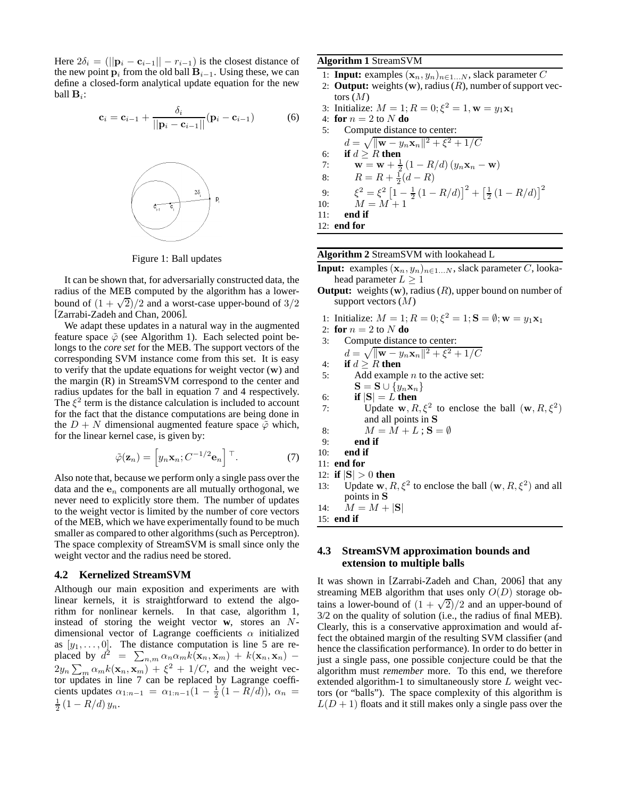Here  $2\delta_i = (||\mathbf{p}_i - \mathbf{c}_{i-1}|| - r_{i-1})$  is the closest distance of the new point  $\mathbf{p}_i$  from the old ball  $\mathbf{B}_{i-1}$ . Using these, we can define a closed-form analytical update equation for the new ball  $\mathbf{B}_i$ :

$$
\mathbf{c}_{i} = \mathbf{c}_{i-1} + \frac{\delta_{i}}{||\mathbf{p}_{i} - \mathbf{c}_{i-1}||} (\mathbf{p}_{i} - \mathbf{c}_{i-1})
$$
(6)



Figure 1: Ball updates

It can be shown that, for adversarially constructed data, the radius of the MEB computed by the algorithm has a lowerbound of  $(1 + \sqrt{2})/2$  and a worst-case upper-bound of  $3/2$ [Zarrabi-Zadeh and Chan, 2006].

We adapt these updates in a natural way in the augmented feature space  $\tilde{\varphi}$  (see Algorithm 1). Each selected point belongs to the *core set* for the MEB. The support vectors of the corresponding SVM instance come from this set. It is easy to verify that the update equations for weight vector (w) and the margin (R) in StreamSVM correspond to the center and radius updates for the ball in equation 7 and 4 respectively. The  $\xi^2$  term is the distance calculation is included to account for the fact that the distance computations are being done in the  $D + N$  dimensional augmented feature space  $\tilde{\varphi}$  which, for the linear kernel case, is given by:

$$
\tilde{\varphi}(\mathbf{z}_n) = \left[ y_n \mathbf{x}_n; C^{-1/2} \mathbf{e}_n \right]^\top. \tag{7}
$$

Also note that, because we perform only a single pass over the data and the  $e_n$  components are all mutually orthogonal, we never need to explicitly store them. The number of updates to the weight vector is limited by the number of core vectors of the MEB, which we have experimentally found to be much smaller as compared to other algorithms (such as Perceptron). The space complexity of StreamSVM is small since only the weight vector and the radius need be stored.

## **4.2 Kernelized StreamSVM**

Although our main exposition and experiments are with linear kernels, it is straightforward to extend the algorithm for nonlinear kernels. In that case, algorithm 1, instead of storing the weight vector **w**, stores an Ndimensional vector of Lagrange coefficients  $\alpha$  initialized as  $[y_1, \ldots, 0]$ . The distance computation is line 5 are replaced by  $d^2 = \sum_{n,m} \alpha_n \alpha_m k(\mathbf{x}_n, \mathbf{x}_m) + k(\mathbf{x}_n, \mathbf{x}_n)$  –  $2y_n \sum_m \alpha_m k(\mathbf{x}_n, \mathbf{x}_m) + \xi^2 + 1/C$ , and the weight vector updates in line 7 can be replaced by Lagrange coefficients updates  $\alpha_{1:n-1} = \alpha_{1:n-1}(1 - \frac{1}{2}(1 - R/d)), \alpha_n =$  $rac{1}{2}(1 - R/d) y_n$ .

### **Algorithm 1** StreamSVM

- 1: **Input:** examples  $(\mathbf{x}_n, y_n)_{n \in 1...N}$ , slack parameter C
- 2: **Output:** weights  $(w)$ , radius  $(R)$ , number of support vectors  $(M)$
- 3: Initialize:  $M = 1; R = 0; \xi^2 = 1, w = y_1x_1$
- 4: **for**  $n = 2$  to N **do**

5: Compute distance to center:  
\n
$$
d = \sqrt{\|\mathbf{w} - y_n \mathbf{x}_n\|^2 + \xi^2 + 1/C}
$$
  
\n6: **if**  $d \ge R$  **then**  
\n7:  $\mathbf{w} = \mathbf{w} + \frac{1}{2}(1 - R/d) (y_n \mathbf{x}_n - \mathbf{w})$   
\n8:  $R = R + \frac{1}{2}(d - R)$   
\n9:  $\xi^2 = \xi^2 [1 - \frac{1}{2}(1 - R/d)]^2 + [\frac{1}{2}(1 - R/d)]^2$   
\n10:  $M = M + 1$   
\n11: **end if**  
\n12: **end for**

**Algorithm 2** StreamSVM with lookahead L

- **Input:** examples  $(\mathbf{x}_n, y_n)_{n \in 1...N}$ , slack parameter C, lookahead parameter  $L > 1$
- **Output:** weights (w), radius (R), upper bound on number of support vectors  $(M)$
- 1: Initialize:  $M = 1; R = 0; \xi^2 = 1; S = \emptyset; w = y_1x_1$
- 2: **for**  $n = 2$  to N **do**
- 3: Compute distance to center:

$$
d = \sqrt{\|\mathbf{w} - y_n \mathbf{x}_n\|^2 + \xi^2 + 1/C}
$$

- 4: **if**  $d \ge R$  **then**<br>5: **Add** example
- Add example  $n$  to the active set:  $\mathbf{S} = \mathbf{S} \cup \{y_n \mathbf{x}_n\}$
- 
- 6: **if**  $|S| = L$  **then**<br>7: **Update w.** R 7: Update  $\mathbf{w}, R, \xi^2$  to enclose the ball  $(\mathbf{w}, R, \xi^2)$ and all points in S
- 8:  $M = M + L$ ;  $S = \emptyset$ <br>9: **end if**
- 9: **end if**
- 10: **end if**
- 11: **end for**
- 12: **if**  $|S| > 0$  **then**<br>13: Update **w**, *R*
- 13: Update w,  $R, \xi^2$  to enclose the ball  $(\mathbf{w}, R, \xi^2)$  and all points in S
- 14:  $M = M + |S|$
- 15: **end if**

## **4.3 StreamSVM approximation bounds and extension to multiple balls**

It was shown in [Zarrabi-Zadeh and Chan, 2006] that any streaming MEB algorithm that uses only  $O(D)$  storage obtains a lower-bound of  $(1 + \sqrt{2})/2$  and an upper-bound of 3/2 on the quality of solution (i.e., the radius of final MEB). Clearly, this is a conservative approximation and would affect the obtained margin of the resulting SVM classifier (and hence the classification performance). In order to do better in just a single pass, one possible conjecture could be that the algorithm must *remember* more. To this end, we therefore extended algorithm-1 to simultaneously store L weight vectors (or "balls"). The space complexity of this algorithm is  $L(D+1)$  floats and it still makes only a single pass over the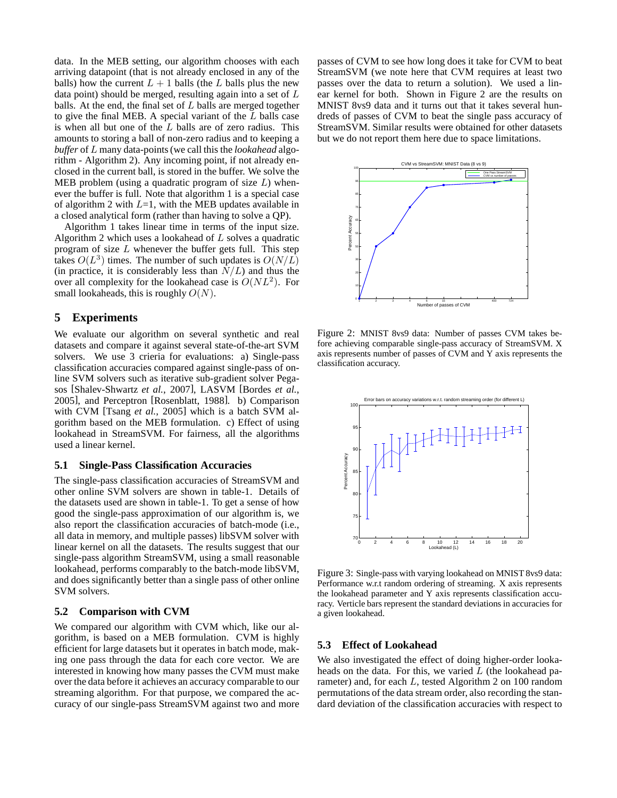data. In the MEB setting, our algorithm chooses with each arriving datapoint (that is not already enclosed in any of the balls) how the current  $L + 1$  balls (the L balls plus the new data point) should be merged, resulting again into a set of  $L$ balls. At the end, the final set of  $L$  balls are merged together to give the final MEB. A special variant of the L balls case is when all but one of the  $L$  balls are of zero radius. This amounts to storing a ball of non-zero radius and to keeping a *buffer* of L many data-points (we call this the *lookahead* algorithm - Algorithm 2). Any incoming point, if not already enclosed in the current ball, is stored in the buffer. We solve the MEB problem (using a quadratic program of size  $L$ ) whenever the buffer is full. Note that algorithm 1 is a special case of algorithm 2 with  $L=1$ , with the MEB updates available in a closed analytical form (rather than having to solve a QP).

Algorithm 1 takes linear time in terms of the input size. Algorithm 2 which uses a lookahead of L solves a quadratic program of size  $L$  whenever the buffer gets full. This step takes  $O(L^3)$  times. The number of such updates is  $O(N/L)$ (in practice, it is considerably less than  $N/L$ ) and thus the over all complexity for the lookahead case is  $O(NL^2)$ . For small lookaheads, this is roughly  $O(N)$ .

## **5 Experiments**

We evaluate our algorithm on several synthetic and real datasets and compare it against several state-of-the-art SVM solvers. We use 3 crieria for evaluations: a) Single-pass classification accuracies compared against single-pass of online SVM solvers such as iterative sub-gradient solver Pegasos [Shalev-Shwartz *et al.*, 2007], LASVM [Bordes *et al.*, 2005], and Perceptron [Rosenblatt, 1988]. b) Comparison with CVM [Tsang *et al.*, 2005] which is a batch SVM algorithm based on the MEB formulation. c) Effect of using lookahead in StreamSVM. For fairness, all the algorithms used a linear kernel.

## **5.1 Single-Pass Classification Accuracies**

The single-pass classification accuracies of StreamSVM and other online SVM solvers are shown in table-1. Details of the datasets used are shown in table-1. To get a sense of how good the single-pass approximation of our algorithm is, we also report the classification accuracies of batch-mode (i.e., all data in memory, and multiple passes) libSVM solver with linear kernel on all the datasets. The results suggest that our single-pass algorithm StreamSVM, using a small reasonable lookahead, performs comparably to the batch-mode libSVM, and does significantly better than a single pass of other online SVM solvers.

#### **5.2 Comparison with CVM**

We compared our algorithm with CVM which, like our algorithm, is based on a MEB formulation. CVM is highly efficient for large datasets but it operates in batch mode, making one pass through the data for each core vector. We are interested in knowing how many passes the CVM must make over the data before it achieves an accuracy comparable to our streaming algorithm. For that purpose, we compared the accuracy of our single-pass StreamSVM against two and more passes of CVM to see how long does it take for CVM to beat StreamSVM (we note here that CVM requires at least two passes over the data to return a solution). We used a linear kernel for both. Shown in Figure 2 are the results on MNIST 8vs9 data and it turns out that it takes several hundreds of passes of CVM to beat the single pass accuracy of StreamSVM. Similar results were obtained for other datasets but we do not report them here due to space limitations.



Figure 2: MNIST 8vs9 data: Number of passes CVM takes before achieving comparable single-pass accuracy of StreamSVM. X axis represents number of passes of CVM and Y axis represents the classification accuracy.



Figure 3: Single-pass with varying lookahead on MNIST 8vs9 data: Performance w.r.t random ordering of streaming. X axis represents the lookahead parameter and Y axis represents classification accuracy. Verticle bars represent the standard deviations in accuracies for a given lookahead.

#### **5.3 Effect of Lookahead**

We also investigated the effect of doing higher-order lookaheads on the data. For this, we varied  $L$  (the lookahead parameter) and, for each L, tested Algorithm 2 on 100 random permutations of the data stream order, also recording the standard deviation of the classification accuracies with respect to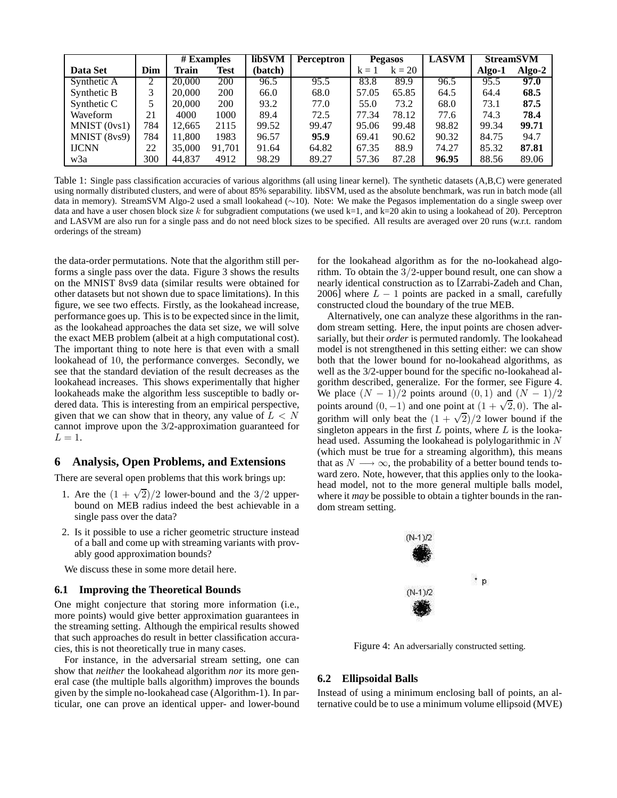|              |             | $#$ <b>Examples</b> |        | libSVM  | <b>Perceptron</b> | <b>Pegasos</b> |          | <b>LASVM</b> | <b>StreamSVM</b> |          |
|--------------|-------------|---------------------|--------|---------|-------------------|----------------|----------|--------------|------------------|----------|
| Data Set     | Dim         | Train               | Test   | (batch) |                   | $k = 1$        | $k = 20$ |              | Algo-1           | $Algo-2$ |
| Synthetic A  |             | 20,000              | 200    | 96.5    | 95.5              | 83.8           | 89.9     | 96.5         | 95.5             | 97.0     |
| Synthetic B  | 3           | 20,000              | 200    | 66.0    | 68.0              | 57.05          | 65.85    | 64.5         | 64.4             | 68.5     |
| Synthetic C  | $\varsigma$ | 20,000              | 200    | 93.2    | 77.0              | 55.0           | 73.2     | 68.0         | 73.1             | 87.5     |
| Waveform     | 21          | 4000                | 1000   | 89.4    | 72.5              | 77.34          | 78.12    | 77.6         | 74.3             | 78.4     |
| MNIST (0vs1) | 784         | 12.665              | 2115   | 99.52   | 99.47             | 95.06          | 99.48    | 98.82        | 99.34            | 99.71    |
| MNIST (8vs9) | 784         | 11.800              | 1983   | 96.57   | 95.9              | 69.41          | 90.62    | 90.32        | 84.75            | 94.7     |
| <b>IJCNN</b> | 22          | 35,000              | 91.701 | 91.64   | 64.82             | 67.35          | 88.9     | 74.27        | 85.32            | 87.81    |
| w3a          | 300         | 44.837              | 4912   | 98.29   | 89.27             | 57.36          | 87.28    | 96.95        | 88.56            | 89.06    |

Table 1: Single pass classification accuracies of various algorithms (all using linear kernel). The synthetic datasets (A,B,C) were generated using normally distributed clusters, and were of about 85% separability. libSVM, used as the absolute benchmark, was run in batch mode (all data in memory). StreamSVM Algo-2 used a small lookahead (∼10). Note: We make the Pegasos implementation do a single sweep over data and have a user chosen block size k for subgradient computations (we used  $k=1$ , and  $k=20$  akin to using a lookahead of 20). Perceptron and LASVM are also run for a single pass and do not need block sizes to be specified. All results are averaged over 20 runs (w.r.t. random orderings of the stream)

the data-order permutations. Note that the algorithm still performs a single pass over the data. Figure 3 shows the results on the MNIST 8vs9 data (similar results were obtained for other datasets but not shown due to space limitations). In this figure, we see two effects. Firstly, as the lookahead increase, performance goes up. This is to be expected since in the limit, as the lookahead approaches the data set size, we will solve the exact MEB problem (albeit at a high computational cost). The important thing to note here is that even with a small lookahead of 10, the performance converges. Secondly, we see that the standard deviation of the result decreases as the lookahead increases. This shows experimentally that higher lookaheads make the algorithm less susceptible to badly ordered data. This is interesting from an empirical perspective, given that we can show that in theory, any value of  $L < N$ cannot improve upon the 3/2-approximation guaranteed for  $L = 1$ 

#### **6 Analysis, Open Problems, and Extensions**

There are several open problems that this work brings up:

- 1. Are the  $(1 + \sqrt{2})/2$  lower-bound and the 3/2 upperbound on MEB radius indeed the best achievable in a single pass over the data?
- 2. Is it possible to use a richer geometric structure instead of a ball and come up with streaming variants with provably good approximation bounds?

We discuss these in some more detail here.

### **6.1 Improving the Theoretical Bounds**

One might conjecture that storing more information (i.e., more points) would give better approximation guarantees in the streaming setting. Although the empirical results showed that such approaches do result in better classification accuracies, this is not theoretically true in many cases.

For instance, in the adversarial stream setting, one can show that *neither* the lookahead algorithm *nor* its more general case (the multiple balls algorithm) improves the bounds given by the simple no-lookahead case (Algorithm-1). In particular, one can prove an identical upper- and lower-bound for the lookahead algorithm as for the no-lookahead algorithm. To obtain the 3/2-upper bound result, one can show a nearly identical construction as to [Zarrabi-Zadeh and Chan, 2006] where  $L - 1$  points are packed in a small, carefully constructed cloud the boundary of the true MEB.

Alternatively, one can analyze these algorithms in the random stream setting. Here, the input points are chosen adversarially, but their *order* is permuted randomly. The lookahead model is not strengthened in this setting either: we can show both that the lower bound for no-lookahead algorithms, as well as the 3/2-upper bound for the specific no-lookahead algorithm described, generalize. For the former, see Figure 4. We place  $(N - 1)/2$  points around  $(0, 1)$  and  $(N - 1)/2$ points around  $(0, -1)$  and one point at  $(1 + \sqrt{2}, 0)$ . The algorithm will only beat the  $(1 + \sqrt{2})/2$  lower bound if the singleton appears in the first  $L$  points, where  $L$  is the lookahead used. Assuming the lookahead is polylogarithmic in N (which must be true for a streaming algorithm), this means that as  $N \longrightarrow \infty$ , the probability of a better bound tends toward zero. Note, however, that this applies only to the lookahead model, not to the more general multiple balls model, where it *may* be possible to obtain a tighter bounds in the random stream setting.



Figure 4: An adversarially constructed setting.

#### **6.2 Ellipsoidal Balls**

Instead of using a minimum enclosing ball of points, an alternative could be to use a minimum volume ellipsoid (MVE)